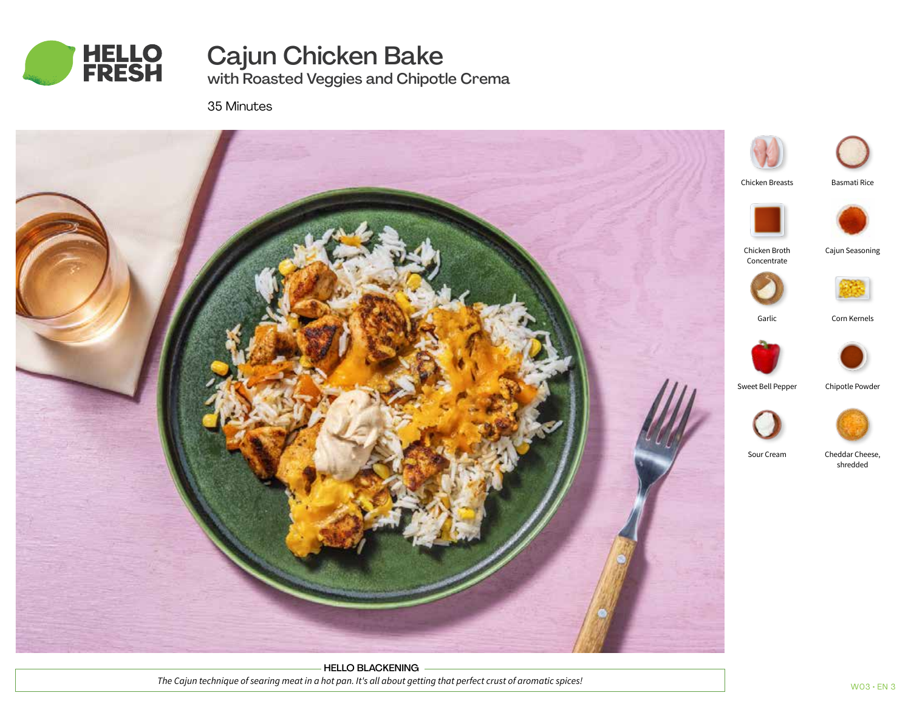

# Cajun Chicken Bake

with Roasted Veggies and Chipotle Crema

35 Minutes



HELLO BLACKENING *The Cajun technique of searing meat in a hot pan. It's all about getting that perfect crust of aromatic spices!*